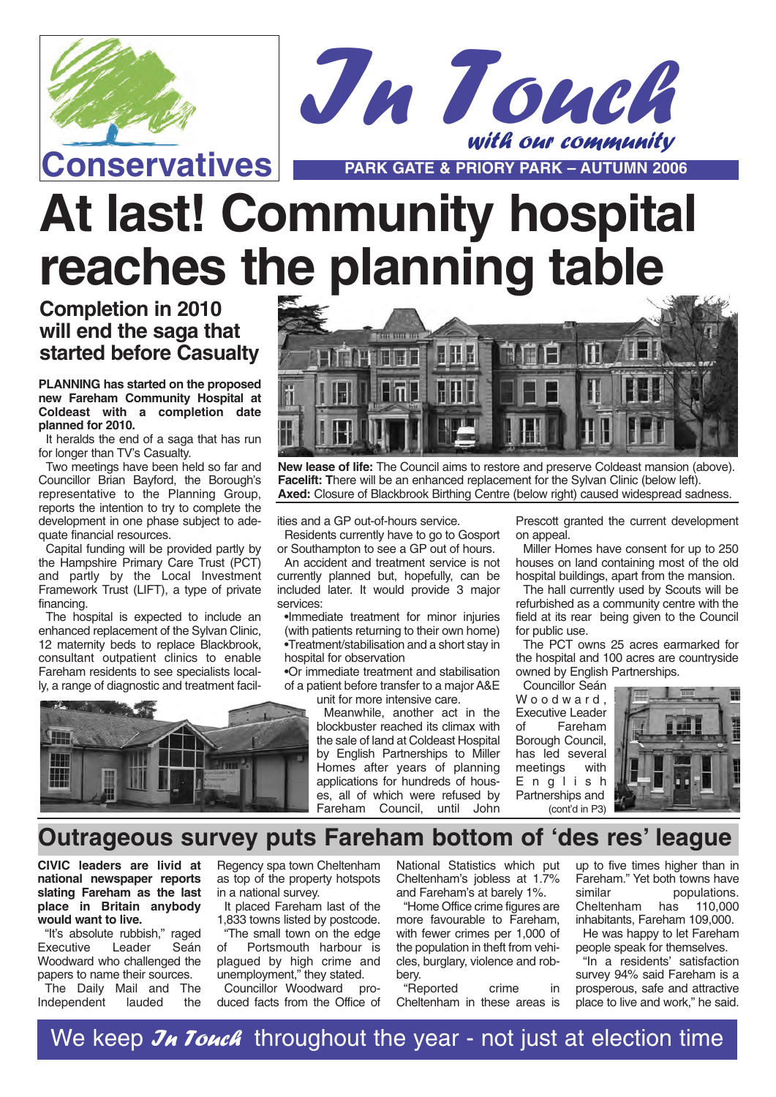



# **At last! Community hospital reaches the planning table**

## **Completion in 2010 will end the saga that started before Casualty**

**PLANNING has started on the proposed new Fareham Community Hospital at Coldeast with a completion date planned for 2010.**

It heralds the end of a saga that has run for longer than TV's Casualty.

Two meetings have been held so far and Councillor Brian Bayford, the Borough's representative to the Planning Group, reports the intention to try to complete the development in one phase subject to adequate financial resources.

Capital funding will be provided partly by the Hampshire Primary Care Trust (PCT) and partly by the Local Investment Framework Trust (LIFT), a type of private financing.

The hospital is expected to include an enhanced replacement of the Sylvan Clinic, 12 maternity beds to replace Blackbrook, consultant outpatient clinics to enable Fareham residents to see specialists locally, a range of diagnostic and treatment facil-





**New lease of life:** The Council aims to restore and preserve Coldeast mansion (above). **Facelift: T**here will be an enhanced replacement for the Sylvan Clinic (below left). **Axed:** Closure of Blackbrook Birthing Centre (below right) caused widespread sadness.

ities and a GP out-of-hours service.

Residents currently have to go to Gosport or Southampton to see a GP out of hours.

An accident and treatment service is not currently planned but, hopefully, can be included later. It would provide 3 major services:

•Immediate treatment for minor injuries (with patients returning to their own home) •Treatment/stabilisation and a short stay in hospital for observation

•Or immediate treatment and stabilisation of a patient before transfer to a major A&E unit for more intensive care.

> Meanwhile, another act in the blockbuster reached its climax with the sale of land at Coldeast Hospital by English Partnerships to Miller Homes after years of planning applications for hundreds of houses, all of which were refused by<br>Eareham Council until John Fareham Council, until

Prescott granted the current development on appeal.

Miller Homes have consent for up to 250 houses on land containing most of the old hospital buildings, apart from the mansion.

The hall currently used by Scouts will be refurbished as a community centre with the field at its rear being given to the Council for public use.

The PCT owns 25 acres earmarked for the hospital and 100 acres are countryside owned by English Partnerships.

Councillor Seán Woodward, Executive Leader of Fareham Borough Council, has led several<br>meetings with meetings English Partnerships and  $($ cont'd in P3 $)$ 



## **Outrageous survey puts Fareham bottom of 'des res' league**

**CIVIC leaders are livid at national newspaper reports slating Fareham as the last place in Britain anybody would want to live.**

"It's absolute rubbish," raged<br>Executive Leader Seán Executive Leader Seán Woodward who challenged the papers to name their sources.

The Daily Mail and The<br>ndependent lauded the Independent

Regency spa town Cheltenham as top of the property hotspots in a national survey.

It placed Fareham last of the 1,833 towns listed by postcode.

"The small town on the edge of Portsmouth harbour is plagued by high crime and unemployment," they stated.<br>Councillor Woodward pro-

Councillor Woodward duced facts from the Office of National Statistics which put Cheltenham's jobless at 1.7% and Fareham's at barely 1%.

"Home Office crime figures are more favourable to Fareham, with fewer crimes per 1,000 of the population in theft from vehicles, burglary, violence and robbery.

"Reported crime in Cheltenham in these areas is up to five times higher than in Fareham." Yet both towns have similar populations. Cheltenham has 110,000 inhabitants, Fareham 109,000.

He was happy to let Fareham people speak for themselves.

"In a residents' satisfaction survey 94% said Fareham is a prosperous, safe and attractive place to live and work," he said.

We keep  $\mathcal{J}_H$  Touch throughout the year - not just at election time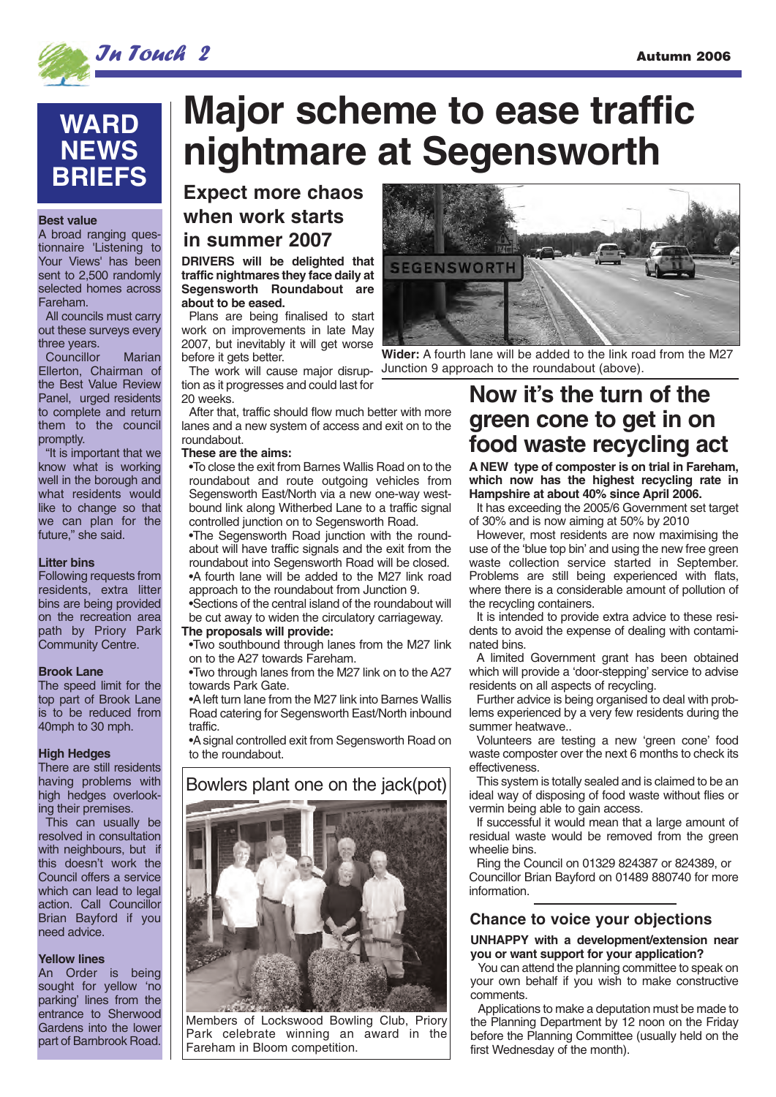

## **WARD NEWS BRIEFS**

#### **Best value**

A broad ranging questionnaire 'Listening to Your Views' has been sent to 2,500 randomly selected homes across Fareham.

All councils must carry out these surveys every three years.

Councillor Marian Ellerton, Chairman of the Best Value Review Panel, urged residents to complete and return them to the council promptly.

"It is important that we know what is working well in the borough and what residents would like to change so that we can plan for the future," she said.

#### **Litter bins**

Following requests from residents, extra litter bins are being provided on the recreation area path by Priory Park Community Centre.

#### **Brook Lane**

The speed limit for the top part of Brook Lane is to be reduced from 40mph to 30 mph.

#### **High Hedges**

There are still residents having problems with high hedges overlooking their premises.

This can usually be resolved in consultation with neighbours, but if this doesn't work the Council offers a service which can lead to legal action. Call Councillor Brian Bayford if you need advice.

#### **Yellow lines**

An Order is being sought for yellow 'no parking' lines from the entrance to Sherwood Gardens into the lower part of Barnbrook Road.

## **Major scheme to ease traffic nightmare at Segensworth**

**Expect more chaos when work starts in summer 2007**

#### **DRIVERS will be delighted that traffic nightmares they face daily at Segensworth Roundabout are about to be eased.**

Plans are being finalised to start work on improvements in late May 2007, but inevitably it will get worse before it gets better.

The work will cause major disruption as it progresses and could last for 20 weeks.

After that, traffic should flow much better with more lanes and a new system of access and exit on to the roundabout.

#### **These are the aims:**

•To close the exit from Barnes Wallis Road on to the roundabout and route outgoing vehicles from Segensworth East/North via a new one-way westbound link along Witherbed Lane to a traffic signal controlled junction on to Segensworth Road.

•The Segensworth Road junction with the roundabout will have traffic signals and the exit from the roundabout into Segensworth Road will be closed. •A fourth lane will be added to the M27 link road approach to the roundabout from Junction 9.

•Sections of the central island of the roundabout will be cut away to widen the circulatory carriageway.

#### **The proposals will provide:**

•Two southbound through lanes from the M27 link on to the A27 towards Fareham.

•Two through lanes from the M27 link on to the A27 towards Park Gate.

•A left turn lane from the M27 link into Barnes Wallis Road catering for Segensworth East/North inbound traffic.

•A signal controlled exit from Segensworth Road on to the roundabout.



Members of Lockswood Bowling Club, Priory Park celebrate winning an award in the Fareham in Bloom competition.



**Wider:** A fourth lane will be added to the link road from the M27 Junction 9 approach to the roundabout (above).

## **Now it's the turn of the green cone to get in on food waste recycling act**

**A NEW type of composter is on trial in Fareham, which now has the highest recycling rate in Hampshire at about 40% since April 2006.** 

It has exceeding the 2005/6 Government set target of 30% and is now aiming at 50% by 2010

However, most residents are now maximising the use of the 'blue top bin' and using the new free green waste collection service started in September. Problems are still being experienced with flats, where there is a considerable amount of pollution of the recycling containers.

It is intended to provide extra advice to these residents to avoid the expense of dealing with contaminated bins.

A limited Government grant has been obtained which will provide a 'door-stepping' service to advise residents on all aspects of recycling.

Further advice is being organised to deal with problems experienced by a very few residents during the summer heatwave..

Volunteers are testing a new 'green cone' food waste composter over the next 6 months to check its effectiveness.

This system is totally sealed and is claimed to be an ideal way of disposing of food waste without flies or vermin being able to gain access.

If successful it would mean that a large amount of residual waste would be removed from the green wheelie bins.

Ring the Council on 01329 824387 or 824389, or Councillor Brian Bayford on 01489 880740 for more information.

#### **Chance to voice your objections**

#### **UNHAPPY with a development/extension near you or want support for your application?**

You can attend the planning committee to speak on your own behalf if you wish to make constructive comments.

Applications to make a deputation must be made to the Planning Department by 12 noon on the Friday before the Planning Committee (usually held on the first Wednesday of the month).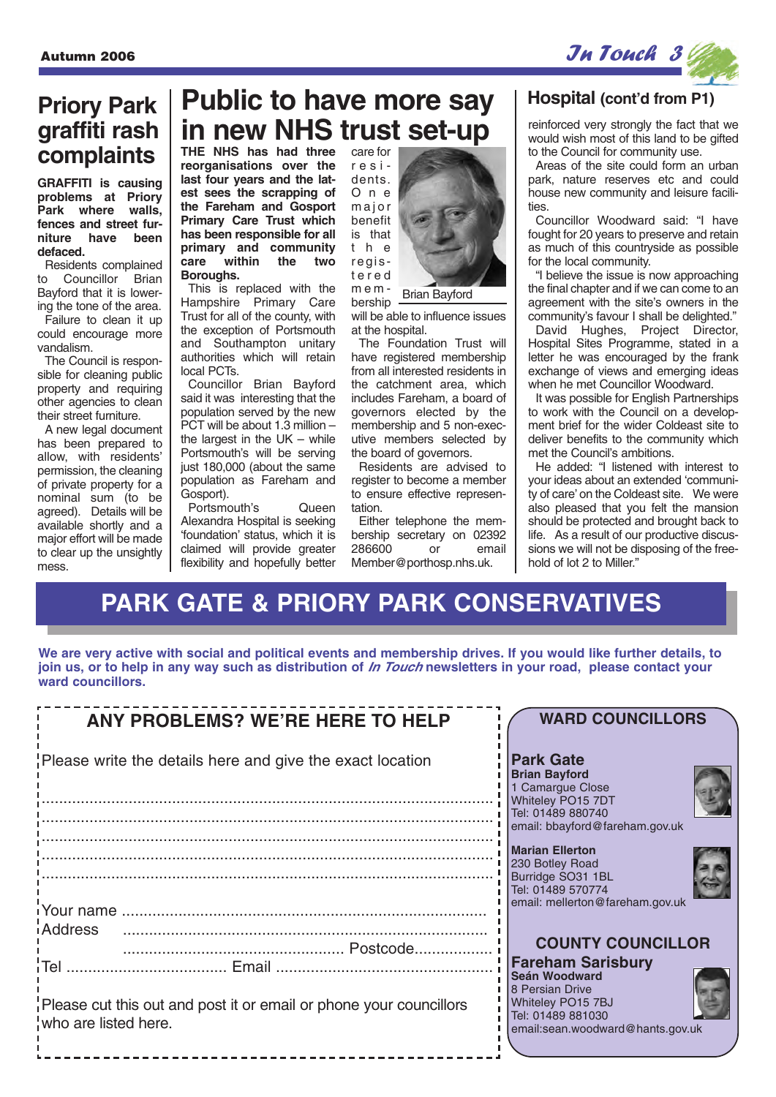**Priory Park graffiti rash complaints**

**GRAFFITI is causing problems at Priory Park where walls, fences and street furniture have been**

Residents complained to Councillor Brian Bayford that it is lowering the tone of the area. Failure to clean it up could encourage more

The Council is responsible for cleaning public property and requiring other agencies to clean their street furniture. A new legal document has been prepared to allow, with residents' permission, the cleaning of private property for a nominal sum (to be agreed). Details will be available shortly and a major effort will be made to clear up the unsightly

**defaced.**

vandalism.

mess.



## **Public to have more say in new NHS trust set-up** reinforced very strongly the fact that we

**THE NHS has had three reorganisations over the last four years and the latest sees the scrapping of the Fareham and Gosport Primary Care Trust which has been responsible for all primary and community care within the two Boroughs.** 

This is replaced with the Hampshire Primary Care Trust for all of the county, with the exception of Portsmouth and Southampton unitary authorities which will retain local PCTs.

Councillor Brian Bayford said it was interesting that the population served by the new PCT will be about 1.3 million – the largest in the UK – while Portsmouth's will be serving just 180,000 (about the same population as Fareham and Gosport).

Portsmouth's Queen Alexandra Hospital is seeking 'foundation' status, which it is claimed will provide greater flexibility and hopefully better

care for residents. O n e major benefit is that the registered mem-

bership Brian Bayford

will be able to influence issues at the hospital.

The Foundation Trust will have registered membership from all interested residents in the catchment area, which includes Fareham, a board of governors elected by the membership and 5 non-executive members selected by the board of governors.

Residents are advised to register to become a member to ensure effective representation.

Either telephone the membership secretary on 02392<br>286600 or email 286600 Member@porthosp.nhs.uk.

### **Hospital (cont'd from P1)**

would wish most of this land to be gifted to the Council for community use.

Areas of the site could form an urban park, nature reserves etc and could house new community and leisure facilities.

Councillor Woodward said: "I have fought for 20 years to preserve and retain as much of this countryside as possible for the local community.

"I believe the issue is now approaching the final chapter and if we can come to an agreement with the site's owners in the community's favour I shall be delighted."

David Hughes, Project Director, Hospital Sites Programme, stated in a letter he was encouraged by the frank exchange of views and emerging ideas when he met Councillor Woodward.

It was possible for English Partnerships to work with the Council on a development brief for the wider Coldeast site to deliver benefits to the community which met the Council's ambitions.

He added: "I listened with interest to your ideas about an extended 'community of care' on the Coldeast site. We were also pleased that you felt the mansion should be protected and brought back to life. As a result of our productive discussions we will not be disposing of the freehold of lot 2 to Miller."

## **PARK GATE & PRIORY PARK CONSERVATIVES**

**We are very active with social and political events and membership drives. If you would like further details, to join us, or to help in any way such as distribution of In Touch newsletters in your road, please contact your ward councillors.**

| <b>ANY PROBLEMS? WE'RE HERE TO HELP</b>                                                    | <b>WARD COUNCILLORS</b>                                                                                                |
|--------------------------------------------------------------------------------------------|------------------------------------------------------------------------------------------------------------------------|
| Please write the details here and give the exact location                                  | <b>Park Gate</b><br><b>Brian Bayford</b><br>1 Camargue Close<br>Whiteley PO15 7DT<br>Tel: 01489 880740                 |
|                                                                                            | email: bbayford@fareham.gov.uk                                                                                         |
|                                                                                            | <b>Marian Ellerton</b><br>230 Botley Road<br>Burridge SO31 1BL<br>Tel: 01489 570774<br>email: mellerton@fareham.gov.uk |
| iAddress                                                                                   | <b>COUNTY COUNCILLOR</b>                                                                                               |
|                                                                                            | <b>Fareham Sarisbury</b><br>Seán Woodward                                                                              |
| Please cut this out and post it or email or phone your councillors<br>who are listed here. | 8 Persian Drive<br>Whiteley PO15 7BJ<br>Tel: 01489 881030<br>email:sean.woodward@hants.gov.uk                          |